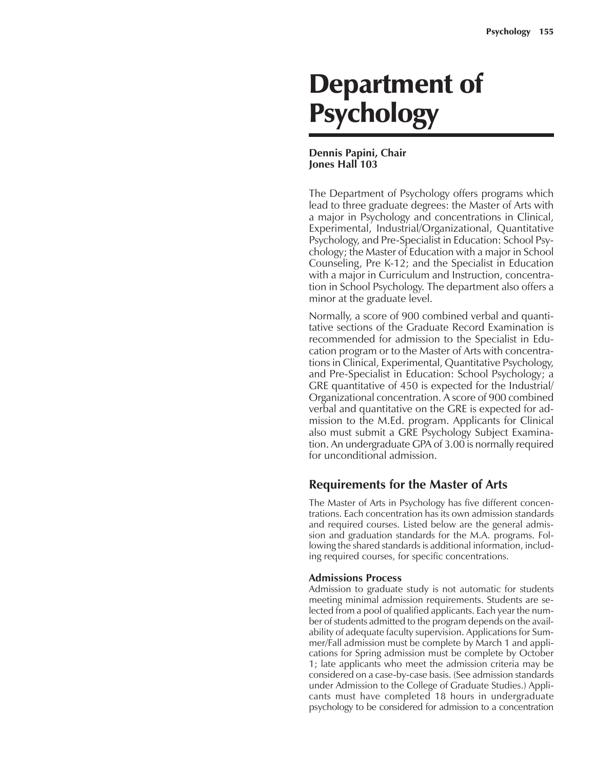# Department of Psychology

#### **Dennis Papini, Chair Jones Hall 103**

The Department of Psychology offers programs which lead to three graduate degrees: the Master of Arts with a major in Psychology and concentrations in Clinical, Experimental, Industrial/Organizational, Quantitative Psychology, and Pre-Specialist in Education: School Psychology; the Master of Education with a major in School Counseling, Pre K-12; and the Specialist in Education with a major in Curriculum and Instruction, concentration in School Psychology. The department also offers a minor at the graduate level.

Normally, a score of 900 combined verbal and quantitative sections of the Graduate Record Examination is recommended for admission to the Specialist in Education program or to the Master of Arts with concentrations in Clinical, Experimental, Quantitative Psychology, and Pre-Specialist in Education: School Psychology; a GRE quantitative of 450 is expected for the Industrial/ Organizational concentration. A score of 900 combined verbal and quantitative on the GRE is expected for admission to the M.Ed. program. Applicants for Clinical also must submit a GRE Psychology Subject Examination. An undergraduate GPA of 3.00 is normally required for unconditional admission.

### **Requirements for the Master of Arts**

The Master of Arts in Psychology has five different concentrations. Each concentration has its own admission standards and required courses. Listed below are the general admission and graduation standards for the M.A. programs. Following the shared standards is additional information, including required courses, for specific concentrations.

### **Admissions Process**

Admission to graduate study is not automatic for students meeting minimal admission requirements. Students are selected from a pool of qualified applicants. Each year the number of students admitted to the program depends on the availability of adequate faculty supervision. Applications for Summer/Fall admission must be complete by March 1 and applications for Spring admission must be complete by October 1; late applicants who meet the admission criteria may be considered on a case-by-case basis. (See admission standards under Admission to the College of Graduate Studies.) Applicants must have completed 18 hours in undergraduate psychology to be considered for admission to a concentration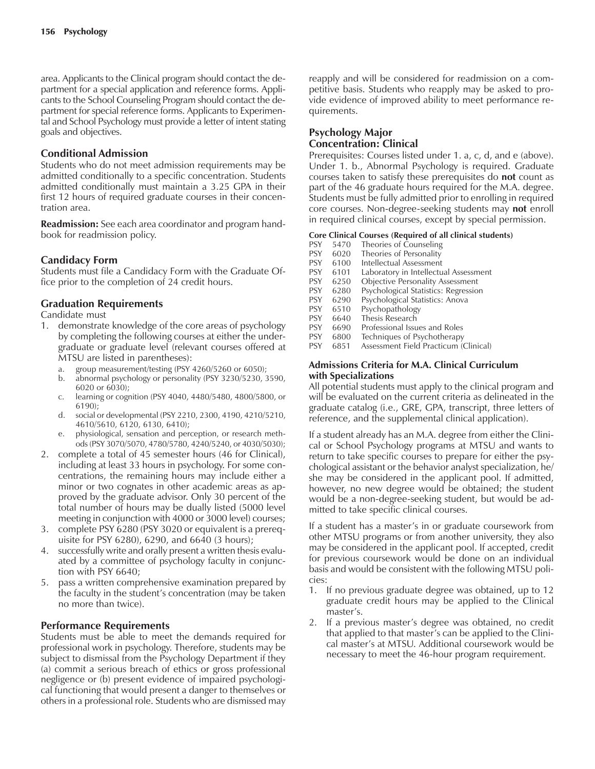area. Applicants to the Clinical program should contact the department for a special application and reference forms. Applicants to the School Counseling Program should contact the department for special reference forms. Applicants to Experimental and School Psychology must provide a letter of intent stating goals and objectives.

#### **Conditional Admission**

Students who do not meet admission requirements may be admitted conditionally to a specific concentration. Students admitted conditionally must maintain a 3.25 GPA in their first 12 hours of required graduate courses in their concentration area.

**Readmission:** See each area coordinator and program handbook for readmission policy.

#### **Candidacy Form**

Students must file a Candidacy Form with the Graduate Office prior to the completion of 24 credit hours.

#### **Graduation Requirements**

Candidate must

- 1. demonstrate knowledge of the core areas of psychology by completing the following courses at either the undergraduate or graduate level (relevant courses offered at MTSU are listed in parentheses):
	- a. group measurement/testing (PSY 4260/5260 or 6050);
	- b. abnormal psychology or personality (PSY 3230/5230, 3590, 6020 or 6030);
	- c. learning or cognition (PSY 4040, 4480/5480, 4800/5800, or 6190);
	- d. social or developmental (PSY 2210, 2300, 4190, 4210/5210, 4610/5610, 6120, 6130, 6410);
	- e. physiological, sensation and perception, or research methods (PSY 3070/5070, 4780/5780, 4240/5240, or 4030/5030);
- 2. complete a total of 45 semester hours (46 for Clinical), including at least 33 hours in psychology. For some concentrations, the remaining hours may include either a minor or two cognates in other academic areas as approved by the graduate advisor. Only 30 percent of the total number of hours may be dually listed (5000 level meeting in conjunction with 4000 or 3000 level) courses;
- 3. complete PSY 6280 (PSY 3020 or equivalent is a prerequisite for PSY 6280), 6290, and 6640 (3 hours);
- 4. successfully write and orally present a written thesis evaluated by a committee of psychology faculty in conjunction with PSY 6640;
- 5. pass a written comprehensive examination prepared by the faculty in the student's concentration (may be taken no more than twice).

#### **Performance Requirements**

Students must be able to meet the demands required for professional work in psychology. Therefore, students may be subject to dismissal from the Psychology Department if they (a) commit a serious breach of ethics or gross professional negligence or (b) present evidence of impaired psychological functioning that would present a danger to themselves or others in a professional role. Students who are dismissed may reapply and will be considered for readmission on a competitive basis. Students who reapply may be asked to provide evidence of improved ability to meet performance requirements.

### **Psychology Major Concentration: Clinical**

Prerequisites: Courses listed under 1. a, c, d, and e (above). Under 1. b., Abnormal Psychology is required. Graduate courses taken to satisfy these prerequisites do **not** count as part of the 46 graduate hours required for the M.A. degree. Students must be fully admitted prior to enrolling in required core courses. Non-degree-seeking students may **not** enroll in required clinical courses, except by special permission.

- **Core Clinical Courses (Required of all clinical students)** PSY 5470 Theories of Counseling<br>PSY 6020 Theories of Personality 6020 Theories of Personality PSY 6100 Intellectual Assessment<br>PSY 6101 Laboratory in Intellectu PSY 6101 Laboratory in Intellectual Assessment<br>PSY 6250 Objective Personality Assessment **Objective Personality Assessment** PSY 6280 Psychological Statistics: Regression PSY 6290 Psychological Statistics: Anova<br>PSY 6510 Psychopathology 6510 Psychopathology PSY 6640 Thesis Research
- 
- PSY 6690 Professional Issues and Roles<br>PSY 6800 Techniques of Psychotherany
- Techniques of Psychotherapy PSY 6851 Assessment Field Practicum (Clinical)
- 

#### **Admissions Criteria for M.A. Clinical Curriculum with Specializations**

All potential students must apply to the clinical program and will be evaluated on the current criteria as delineated in the graduate catalog (i.e., GRE, GPA, transcript, three letters of reference, and the supplemental clinical application).

If a student already has an M.A. degree from either the Clinical or School Psychology programs at MTSU and wants to return to take specific courses to prepare for either the psychological assistant or the behavior analyst specialization, he/ she may be considered in the applicant pool. If admitted, however, no new degree would be obtained; the student would be a non-degree-seeking student, but would be admitted to take specific clinical courses.

If a student has a master's in or graduate coursework from other MTSU programs or from another university, they also may be considered in the applicant pool. If accepted, credit for previous coursework would be done on an individual basis and would be consistent with the following MTSU policies:

- 1. If no previous graduate degree was obtained, up to 12 graduate credit hours may be applied to the Clinical master's.
- 2. If a previous master's degree was obtained, no credit that applied to that master's can be applied to the Clinical masterís at MTSU. Additional coursework would be necessary to meet the 46-hour program requirement.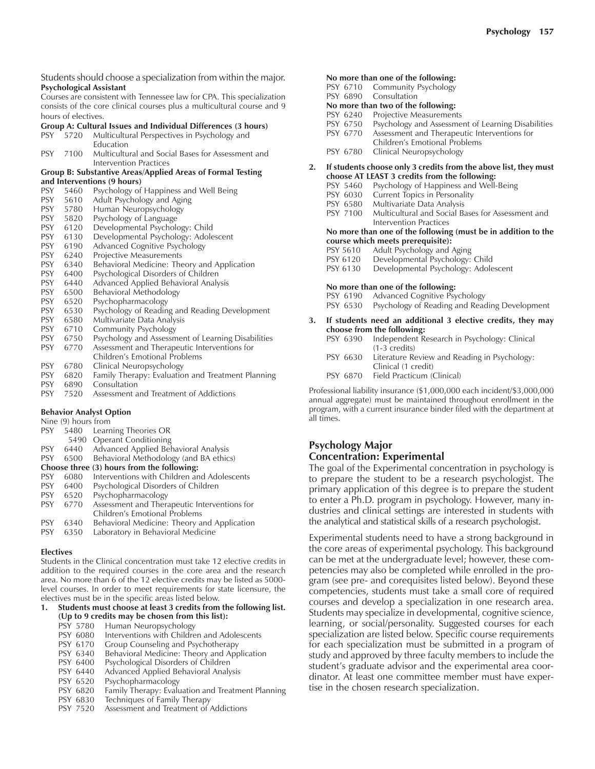Students should choose a specialization from within the major. **Psychological Assistant**

Courses are consistent with Tennessee law for CPA. This specialization consists of the core clinical courses plus a multicultural course and 9 hours of electives.

#### **Group A: Cultural Issues and Individual Differences (3 hours)**

| <b>PSY</b> | 5720 Multicultural Perspectives in Psychology and |
|------------|---------------------------------------------------|
|            | <b>Education</b>                                  |

|  | PSY 7100 Multicultural and Social Bases for Assessment and |
|--|------------------------------------------------------------|
|  | Intervention Practices                                     |

#### **Group B: Substantive Areas/Applied Areas of Formal Testing and Interventions (9 hours)**

| <b>PSY</b> | 5460 | Psychology of Happiness and Well Being             |
|------------|------|----------------------------------------------------|
| <b>PSY</b> | 5610 | Adult Psychology and Aging                         |
| <b>PSY</b> | 5780 | Human Neuropsychology                              |
| <b>PSY</b> | 5820 | Psychology of Language                             |
| <b>PSY</b> | 6120 | Developmental Psychology: Child                    |
| <b>PSY</b> | 6130 | Developmental Psychology: Adolescent               |
| <b>PSY</b> | 6190 | Advanced Cognitive Psychology                      |
| <b>PSY</b> | 6240 | Projective Measurements                            |
| <b>PSY</b> | 6340 | Behavioral Medicine: Theory and Application        |
| <b>PSY</b> | 6400 | Psychological Disorders of Children                |
| <b>PSY</b> | 6440 | Advanced Applied Behavioral Analysis               |
| <b>PSY</b> | 6500 | Behavioral Methodology                             |
| <b>PSY</b> | 6520 | Psychopharmacology                                 |
| <b>PSY</b> | 6530 | Psychology of Reading and Reading Development      |
| <b>PSY</b> | 6580 | Multivariate Data Analysis                         |
| <b>PSY</b> | 6710 | Community Psychology                               |
| <b>PSY</b> | 6750 | Psychology and Assessment of Learning Disabilities |
| <b>PSY</b> | 6770 | Assessment and Therapeutic Interventions for       |
|            |      | Children's Emotional Problems                      |
| PSY        | 6780 | Clinical Neuropsychology                           |
| <b>PSY</b> | 6820 | Family Therapy: Evaluation and Treatment Planning  |
| PSY        | 6890 | Consultation                                       |

PSY 7520 Assessment and Treatment of Addictions

#### **Behavior Analyst Option**

| Nine (9) hours from                        |                                              |  |  |  |  |
|--------------------------------------------|----------------------------------------------|--|--|--|--|
| 5480                                       | Learning Theories OR                         |  |  |  |  |
| 5490                                       | <b>Operant Conditioning</b>                  |  |  |  |  |
| 6440                                       | Advanced Applied Behavioral Analysis         |  |  |  |  |
| 6500                                       | Behavioral Methodology (and BA ethics)       |  |  |  |  |
| Choose three (3) hours from the following: |                                              |  |  |  |  |
| 6080                                       | Interventions with Children and Adolescents  |  |  |  |  |
| 6400                                       | Psychological Disorders of Children          |  |  |  |  |
| 6520                                       | Psychopharmacology                           |  |  |  |  |
| 6770                                       | Assessment and Therapeutic Interventions for |  |  |  |  |
|                                            | Children's Emotional Problems                |  |  |  |  |
| 6340                                       | Behavioral Medicine: Theory and Application  |  |  |  |  |
| 6350                                       | Laboratory in Behavioral Medicine            |  |  |  |  |
|                                            |                                              |  |  |  |  |

#### **Electives**

Students in the Clinical concentration must take 12 elective credits in addition to the required courses in the core area and the research area. No more than 6 of the 12 elective credits may be listed as 5000 level courses. In order to meet requirements for state licensure, the electives must be in the specific areas listed below.

#### **1. Students must choose at least 3 credits from the following list. (Up to 9 credits may be chosen from this list):**

- PSY 5780 Human Neuropsychology<br>PSY 6080 Interventions with Childre
- PSY 6080 Interventions with Children and Adolescents<br>PSY 6170 Group Counseling and Psychotherapy
- Group Counseling and Psychotherapy
- PSY 6340 Behavioral Medicine: Theory and Application
- PSY 6400 Psychological Disorders of Children<br>PSY 6440 Advanced Applied Behavioral Analy
- Advanced Applied Behavioral Analysis
- PSY 6520 Psychopharmacology<br>PSY 6820 Family Therapy: Evalu
- 
- PSY 6820 Family Therapy: Evaluation and Treatment Planning<br>PSY 6830 Techniques of Family Therapy Techniques of Family Therapy
- PSY 7520 Assessment and Treatment of Addictions

#### **No more than one of the following:** DCV  $6710$

| PSY 6/10 Community Psychology |
|-------------------------------|
| PSY 6890 Consultation         |

**No more than two of the following:**

- 
- PSY 6240 Projective Measurements<br>PSY 6750 Psychology and Assessme PSY 6750 Psychology and Assessment of Learning Disabilities<br>PSY 6770 Assessment and Therapeutic Interventions for
- Assessment and Therapeutic Interventions for
- Children's Emotional Problems
- PSY 6780 Clinical Neuropsychology

### **2. If students choose only 3 credits from the above list, they must choose AT LEAST 3 credits from the following:**

- Psychology of Happiness and Well-Being
- PSY 6030 Current Topics in Personality
- 
- PSY 6580 Multivariate Data Analysis<br>PSY 7100 Multicultural and Social Ba Multicultural and Social Bases for Assessment and Intervention Practices

#### **No more than one of the following (must be in addition to the course which meets prerequisite):**

- PSY 5610 Adult Psychology and Aging
- PSY 6120 Developmental Psychology: Child<br>PSY 6130 Developmental Psychology: Adole
- Developmental Psychology: Adolescent

#### **No more than one of the following:**

- PSY 6190 Advanced Cognitive Psychology
- PSY 6530 Psychology of Reading and Reading Development

| 3. If students need an additional 3 elective credits, they may |  |
|----------------------------------------------------------------|--|
| choose from the following:                                     |  |

- PSY 6390 Independent Research in Psychology: Clinical (1-3 credits)
- PSY 6630 Literature Review and Reading in Psychology: Clinical (1 credit)
- PSY 6870 Field Practicum (Clinical)

Professional liability insurance (\$1,000,000 each incident/\$3,000,000 annual aggregate) must be maintained throughout enrollment in the program, with a current insurance binder filed with the department at all times.

### **Psychology Major Concentration: Experimental**

The goal of the Experimental concentration in psychology is to prepare the student to be a research psychologist. The primary application of this degree is to prepare the student to enter a Ph.D. program in psychology. However, many industries and clinical settings are interested in students with the analytical and statistical skills of a research psychologist.

Experimental students need to have a strong background in the core areas of experimental psychology. This background can be met at the undergraduate level; however, these competencies may also be completed while enrolled in the program (see pre- and corequisites listed below). Beyond these competencies, students must take a small core of required courses and develop a specialization in one research area. Students may specialize in developmental, cognitive science, learning, or social/personality. Suggested courses for each specialization are listed below. Specific course requirements for each specialization must be submitted in a program of study and approved by three faculty members to include the student's graduate advisor and the experimental area coordinator. At least one committee member must have expertise in the chosen research specialization.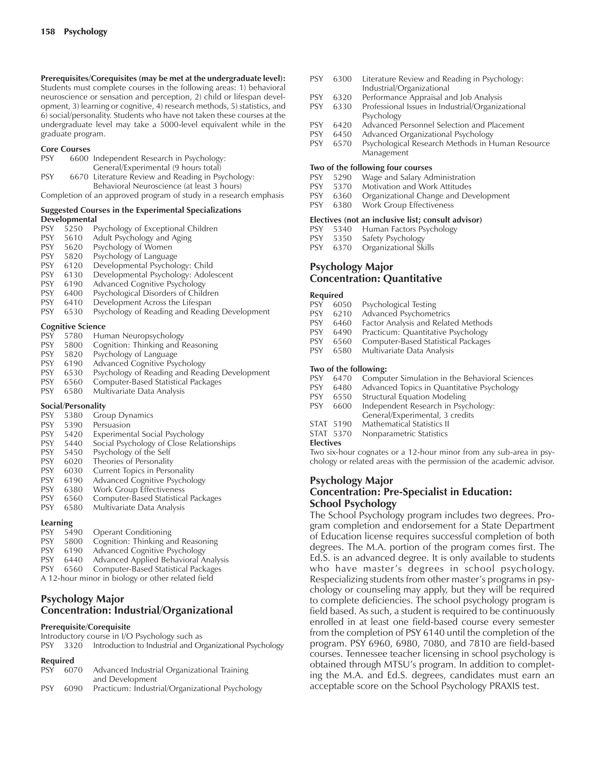**Prerequisites/Corequisites (may be met at the undergraduate level):** Students must complete courses in the following areas: 1) behavioral neuroscience or sensation and perception, 2) child or lifespan development, 3) learning or cognitive, 4) research methods, 5) statistics, and 6) social/personality. Students who have not taken these courses at the undergraduate level may take a 5000-level equivalent while in the graduate program.

#### **Core Courses**

| <b>PSY</b> | 6600 Independent Research in Psychology: |  |  |  |  |  |
|------------|------------------------------------------|--|--|--|--|--|
|------------|------------------------------------------|--|--|--|--|--|

General/Experimental (9 hours total) PSY 6670 Literature Review and Reading in Psychology: Behavioral Neuroscience (at least 3 hours)

Completion of an approved program of study in a research emphasis

#### **Suggested Courses in the Experimental Specializations Developmental**

| <b>PSY</b> | 5250                     | Psychology of Exceptional Children            |
|------------|--------------------------|-----------------------------------------------|
| <b>PSY</b> | 5610                     | Adult Psychology and Aging                    |
| <b>PSY</b> | 5620                     | Psychology of Women                           |
| <b>PSY</b> | 5820                     | Psychology of Language                        |
| <b>PSY</b> | 6120                     | Developmental Psychology: Child               |
| <b>PSY</b> | 6130                     | Developmental Psychology: Adolescent          |
| <b>PSY</b> | 6190                     | Advanced Cognitive Psychology                 |
| <b>PSY</b> | 6400                     | Psychological Disorders of Children           |
| <b>PSY</b> | 6410                     | Development Across the Lifespan               |
| <b>PSY</b> | 6530                     | Psychology of Reading and Reading Development |
|            | <b>Cognitive Science</b> |                                               |
| PSY        |                          | 5780 Human Neuropsychology                    |

| <b>PSY</b>         | 5800 | Cognition: Thinking and Reasoning             |  |  |  |
|--------------------|------|-----------------------------------------------|--|--|--|
| <b>PSY</b>         | 5820 | Psychology of Language                        |  |  |  |
| <b>PSY</b>         | 6190 | Advanced Cognitive Psychology                 |  |  |  |
| <b>PSY</b>         | 6530 | Psychology of Reading and Reading Development |  |  |  |
| <b>PSY</b>         | 6560 | Computer-Based Statistical Packages           |  |  |  |
| <b>PSY</b>         | 6580 | Multivariate Data Analysis                    |  |  |  |
| Social/Personality |      |                                               |  |  |  |
| DC <sub>V</sub>    |      | $0.00 \, \text{G}$                            |  |  |  |

| <b>PSY</b> | 5380 | <b>Group Dynamics</b> |
|------------|------|-----------------------|
|            |      |                       |

- PSY 5390 Persuasion
- PSY 5420 Experimental Social Psychology<br>PSY 5440 Social Psychology of Close Rela
- PSY 5440 Social Psychology of Close Relationships
- PSY 5450 Psychology of the Self
- PSY 6020 Theories of Personality
- PSY 6030 Current Topics in Personality<br>PSY 6190 Advanced Cognitive Psycholo
- 6190 Advanced Cognitive Psychology
- PSY 6380 Work Group Effectiveness
- PSY 6560 Computer-Based Statistical Packages
- PSY 6580 Multivariate Data Analysis

## **Learning**

| --------   |      |                                      |
|------------|------|--------------------------------------|
| <b>PSY</b> | 5490 | <b>Operant Conditioning</b>          |
| <b>PSY</b> | 5800 | Cognition: Thinking and Reasoning    |
| <b>PSY</b> | 6190 | Advanced Cognitive Psychology        |
| <b>PSY</b> | 6440 | Advanced Applied Behavioral Analysis |
|            |      |                                      |

- PSY 6560 Computer-Based Statistical Packages
- A 12-hour minor in biology or other related field

### **Psychology Major Concentration: Industrial/Organizational**

#### **Prerequisite/Corequisite**

Introductory course in I/O Psychology such as

|  | PSY 3320 Introduction to Industrial and Organizational Psychology |  |
|--|-------------------------------------------------------------------|--|
|  |                                                                   |  |

### **Required**

| <b>PSY</b> |      | 6070 Advanced Industrial Organizational Training |
|------------|------|--------------------------------------------------|
|            |      | and Development                                  |
| <b>DCV</b> | 6090 | Practicum: Industrial/Organizational Psychology  |

6090 Practicum: Industrial/Organizational Psychology

- PSY 6300 Literature Review and Reading in Psychology: Industrial/Organizational
- PSY 6320 Performance Appraisal and Job Analysis
- PSY 6330 Professional Issues in Industrial/Organizational Psychology
- PSY 6420 Advanced Personnel Selection and Placement<br>PSY 6450 Advanced Organizational Psychology
- Advanced Organizational Psychology
- PSY 6570 Psychological Research Methods in Human Resource Management

#### **Two of the following four courses**

- PSY 5290 Wage and Salary Administration
- PSY 5370 Motivation and Work Attitudes<br>PSY 6360 Organizational Change and De
- Organizational Change and Development
- PSY 6380 Work Group Effectiveness

### **Electives (not an inclusive list; consult advisor)**<br>PSY 5340 Human Factors Psychology

- 5340 Human Factors Psychology
- PSY 5350 Safety Psychology
- PSY 6370 Organizational Skills

### **Psychology Major Concentration: Quantitative**

#### **Required**

- PSY 6050 Psychological Testing<br>PSY 6210 Advanced Psychomet
- Advanced Psychometrics
- PSY 6460 Factor Analysis and Related Methods
- 
- PSY 6490 Practicum: Quantitative Psychology<br>PSY 6560 Computer-Based Statistical Packages Computer-Based Statistical Packages
- PSY 6580 Multivariate Data Analysis

#### **Two of the following:**

- PSY 6470 Computer Simulation in the Behavioral Sciences
- PSY 6480 Advanced Topics in Quantitative Psychology
- 
- PSY 6550 Structural Equation Modeling<br>PSY 6600 Independent Research in Psyc 6600 Independent Research in Psychology:
- General/Experimental, 3 credits
- STAT 5190 Mathematical Statistics II
- STAT 5370 Nonparametric Statistics

#### **Electives**

Two six-hour cognates or a 12-hour minor from any sub-area in psychology or related areas with the permission of the academic advisor.

#### **Psychology Major Concentration: Pre-Specialist in Education: School Psychology**

The School Psychology program includes two degrees. Program completion and endorsement for a State Department of Education license requires successful completion of both degrees. The M.A. portion of the program comes first. The Ed.S. is an advanced degree. It is only available to students who have master's degrees in school psychology. Respecializing students from other master's programs in psychology or counseling may apply, but they will be required to complete deficiencies. The school psychology program is field based. As such, a student is required to be continuously enrolled in at least one field-based course every semester from the completion of PSY 6140 until the completion of the program. PSY 6960, 6980, 7080, and 7810 are field-based courses. Tennessee teacher licensing in school psychology is obtained through MTSU's program. In addition to completing the M.A. and Ed.S. degrees, candidates must earn an acceptable score on the School Psychology PRAXIS test.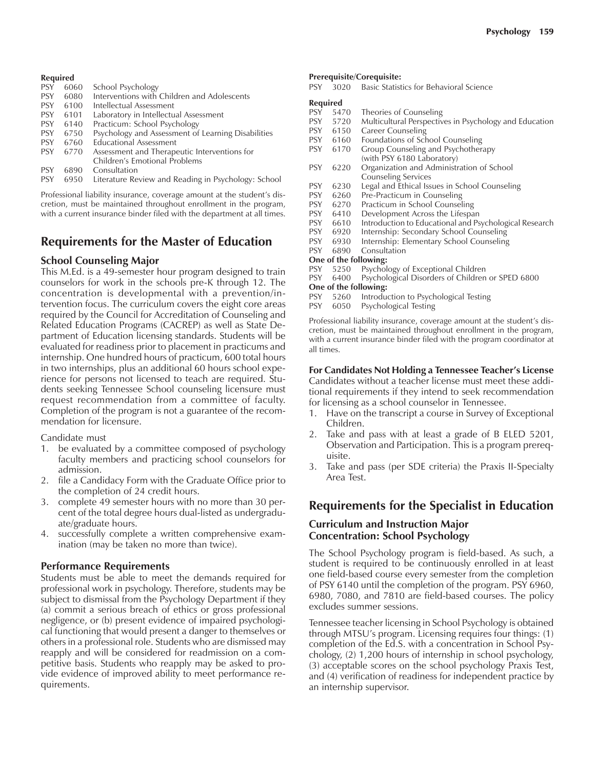#### **Required**

| <b>PSY</b> | 6060 | School Psychology                                  |  |  |  |  |
|------------|------|----------------------------------------------------|--|--|--|--|
| <b>PSY</b> | 6080 | Interventions with Children and Adolescents        |  |  |  |  |
| <b>PSY</b> | 6100 | Intellectual Assessment                            |  |  |  |  |
| <b>PSY</b> | 6101 | Laboratory in Intellectual Assessment              |  |  |  |  |
| <b>PSY</b> | 6140 | Practicum: School Psychology                       |  |  |  |  |
| <b>PSY</b> | 6750 | Psychology and Assessment of Learning Disabilities |  |  |  |  |
| <b>PSY</b> | 6760 | <b>Educational Assessment</b>                      |  |  |  |  |
| <b>PSY</b> | 6770 | Assessment and Therapeutic Interventions for       |  |  |  |  |
|            |      | Children's Emotional Problems                      |  |  |  |  |
| <b>PSY</b> | 6890 | Consultation                                       |  |  |  |  |
|            |      |                                                    |  |  |  |  |

PSY 6950 Literature Review and Reading in Psychology: School

Professional liability insurance, coverage amount at the student's discretion, must be maintained throughout enrollment in the program, with a current insurance binder filed with the department at all times.

### **Requirements for the Master of Education**

#### **School Counseling Major**

This M.Ed. is a 49-semester hour program designed to train counselors for work in the schools pre-K through 12. The concentration is developmental with a prevention/intervention focus. The curriculum covers the eight core areas required by the Council for Accreditation of Counseling and Related Education Programs (CACREP) as well as State Department of Education licensing standards. Students will be evaluated for readiness prior to placement in practicums and internship. One hundred hours of practicum, 600 total hours in two internships, plus an additional 60 hours school experience for persons not licensed to teach are required. Students seeking Tennessee School counseling licensure must request recommendation from a committee of faculty. Completion of the program is not a guarantee of the recommendation for licensure.

Candidate must

- 1. be evaluated by a committee composed of psychology faculty members and practicing school counselors for admission.
- 2. file a Candidacy Form with the Graduate Office prior to the completion of 24 credit hours.
- 3. complete 49 semester hours with no more than 30 percent of the total degree hours dual-listed as undergraduate/graduate hours.
- 4. successfully complete a written comprehensive examination (may be taken no more than twice).

#### **Performance Requirements**

Students must be able to meet the demands required for professional work in psychology. Therefore, students may be subject to dismissal from the Psychology Department if they (a) commit a serious breach of ethics or gross professional negligence, or (b) present evidence of impaired psychological functioning that would present a danger to themselves or others in a professional role. Students who are dismissed may reapply and will be considered for readmission on a competitive basis. Students who reapply may be asked to provide evidence of improved ability to meet performance requirements.

#### **Prerequisite/Corequisite:**

PSY 3020 Basic Statistics for Behavioral Science

#### **Required**

| <b>PSY</b>            | 5470 | Theories of Counseling                                 |  |  |  |
|-----------------------|------|--------------------------------------------------------|--|--|--|
| PSY.                  | 5720 | Multicultural Perspectives in Psychology and Education |  |  |  |
| <b>PSY</b>            | 6150 | <b>Career Counseling</b>                               |  |  |  |
| PSY.                  | 6160 | Foundations of School Counseling                       |  |  |  |
| <b>PSY</b>            | 6170 | Group Counseling and Psychotherapy                     |  |  |  |
|                       |      | (with PSY 6180 Laboratory)                             |  |  |  |
| PSY                   | 6220 | Organization and Administration of School              |  |  |  |
|                       |      | <b>Counseling Services</b>                             |  |  |  |
| PSY.                  | 6230 | Legal and Ethical Issues in School Counseling          |  |  |  |
| <b>PSY</b>            | 6260 | Pre-Practicum in Counseling                            |  |  |  |
| PSY                   | 6270 | Practicum in School Counseling                         |  |  |  |
| PSY.                  | 6410 | Development Across the Lifespan                        |  |  |  |
| PSY.                  | 6610 | Introduction to Educational and Psychological Research |  |  |  |
| PSY                   | 6920 | Internship: Secondary School Counseling                |  |  |  |
| PSY.                  | 6930 | Internship: Elementary School Counseling               |  |  |  |
| <b>PSY</b>            | 6890 | Consultation                                           |  |  |  |
| One of the following: |      |                                                        |  |  |  |
| PSY                   | 5250 | Psychology of Exceptional Children                     |  |  |  |
| PSY.                  | 6400 | Psychological Disorders of Children or SPED 6800       |  |  |  |
| One of the following: |      |                                                        |  |  |  |
| <b>PSY</b>            | 5260 | Introduction to Psychological Testing                  |  |  |  |
| <b>PSY</b>            | 6050 | Psychological Testing                                  |  |  |  |

Professional liability insurance, coverage amount at the student's discretion, must be maintained throughout enrollment in the program, with a current insurance binder filed with the program coordinator at all times.

#### **For Candidates Not Holding a Tennessee Teacherís License**

Candidates without a teacher license must meet these additional requirements if they intend to seek recommendation for licensing as a school counselor in Tennessee.

- 1. Have on the transcript a course in Survey of Exceptional Children.
- 2. Take and pass with at least a grade of B ELED 5201, Observation and Participation. This is a program prerequisite.
- 3. Take and pass (per SDE criteria) the Praxis II-Specialty Area Test.

### **Requirements for the Specialist in Education**

#### **Curriculum and Instruction Major Concentration: School Psychology**

The School Psychology program is field-based. As such, a student is required to be continuously enrolled in at least one field-based course every semester from the completion of PSY 6140 until the completion of the program. PSY 6960, 6980, 7080, and 7810 are field-based courses. The policy excludes summer sessions.

Tennessee teacher licensing in School Psychology is obtained through MTSUís program. Licensing requires four things: (1) completion of the Ed.S. with a concentration in School Psychology, (2) 1,200 hours of internship in school psychology, (3) acceptable scores on the school psychology Praxis Test, and (4) verification of readiness for independent practice by an internship supervisor.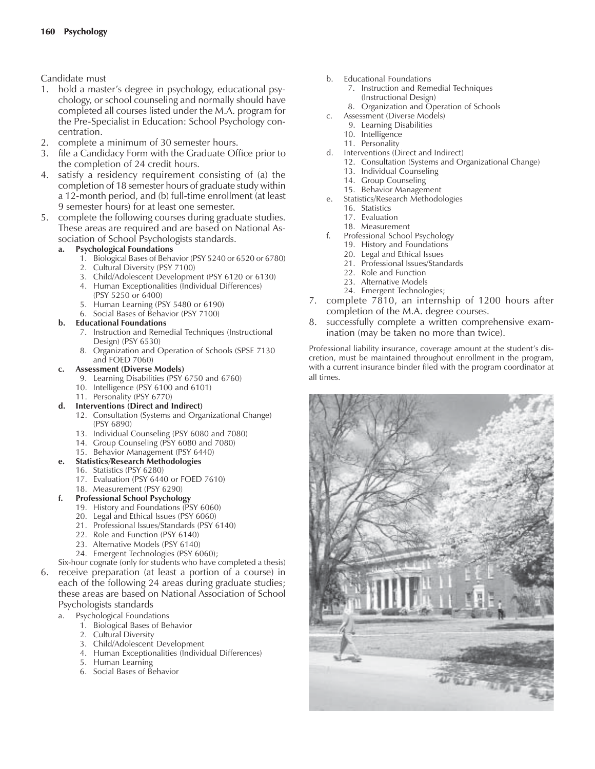### Candidate must

- 1. hold a master's degree in psychology, educational psychology, or school counseling and normally should have completed all courses listed under the M.A. program for the Pre-Specialist in Education: School Psychology concentration.
- 2. complete a minimum of 30 semester hours.
- 3. file a Candidacy Form with the Graduate Office prior to the completion of 24 credit hours.
- 4. satisfy a residency requirement consisting of (a) the completion of 18 semester hours of graduate study within a 12-month period, and (b) full-time enrollment (at least 9 semester hours) for at least one semester.
- 5. complete the following courses during graduate studies. These areas are required and are based on National Association of School Psychologists standards.

#### **a. Psychological Foundations**

- 1. Biological Bases of Behavior (PSY 5240 or 6520 or 6780)
- 2. Cultural Diversity (PSY 7100)
- 3. Child/Adolescent Development (PSY 6120 or 6130)
- 4. Human Exceptionalities (Individual Differences) (PSY 5250 or 6400)
- 5. Human Learning (PSY 5480 or 6190)
- 6. Social Bases of Behavior (PSY 7100)

#### **b. Educational Foundations**

- 7. Instruction and Remedial Techniques (Instructional Design) (PSY 6530)
- 8. Organization and Operation of Schools (SPSE 7130 and FOED 7060)

#### **c. Assessment (Diverse Models)**

- 9. Learning Disabilities (PSY 6750 and 6760)
- 10. Intelligence (PSY 6100 and 6101)
- 11. Personality (PSY 6770)
- **d. Interventions (Direct and Indirect)**
	- 12. Consultation (Systems and Organizational Change) (PSY 6890)
	- 13. Individual Counseling (PSY 6080 and 7080)
	- 14. Group Counseling (PSY 6080 and 7080)
	- 15. Behavior Management (PSY 6440)
- **e. Statistics/Research Methodologies**
	- 16. Statistics (PSY 6280)
	- 17. Evaluation (PSY 6440 or FOED 7610)
	- 18. Measurement (PSY 6290)

### **f. Professional School Psychology**

- 19. History and Foundations (PSY 6060)
- 20. Legal and Ethical Issues (PSY 6060)
- 21. Professional Issues/Standards (PSY 6140)
- 22. Role and Function (PSY 6140)
- 23. Alternative Models (PSY 6140)
- 24. Emergent Technologies (PSY 6060);
- Six-hour cognate (only for students who have completed a thesis) 6. receive preparation (at least a portion of a course) in each of the following 24 areas during graduate studies; these areas are based on National Association of School Psychologists standards
	- a. Psychological Foundations
		- 1. Biological Bases of Behavior
		- 2. Cultural Diversity
		- 3. Child/Adolescent Development
		- 4. Human Exceptionalities (Individual Differences)
		- 5. Human Learning
		- 6. Social Bases of Behavior
- b. Educational Foundations
	- 7. Instruction and Remedial Techniques (Instructional Design)
	- 8. Organization and Operation of Schools
- c. Assessment (Diverse Models)
	- 9. Learning Disabilities
	- 10. Intelligence
	- 11. Personality
- d. Interventions (Direct and Indirect)
	- 12. Consultation (Systems and Organizational Change)
	- 13. Individual Counseling
	- 14. Group Counseling
- 15. Behavior Management e. Statistics/Research Methodologies
	- 16. Statistics
		- 17. Evaluation
	- 18. Measurement
- f. Professional School Psychology
	- 19. History and Foundations
	- 20. Legal and Ethical Issues
	- 21. Professional Issues/Standards
	- 22. Role and Function
	- 23. Alternative Models
	- 24. Emergent Technologies;
- 7. complete 7810, an internship of 1200 hours after completion of the M.A. degree courses.

#### 8. successfully complete a written comprehensive examination (may be taken no more than twice).

Professional liability insurance, coverage amount at the student's discretion, must be maintained throughout enrollment in the program, with a current insurance binder filed with the program coordinator at all times.

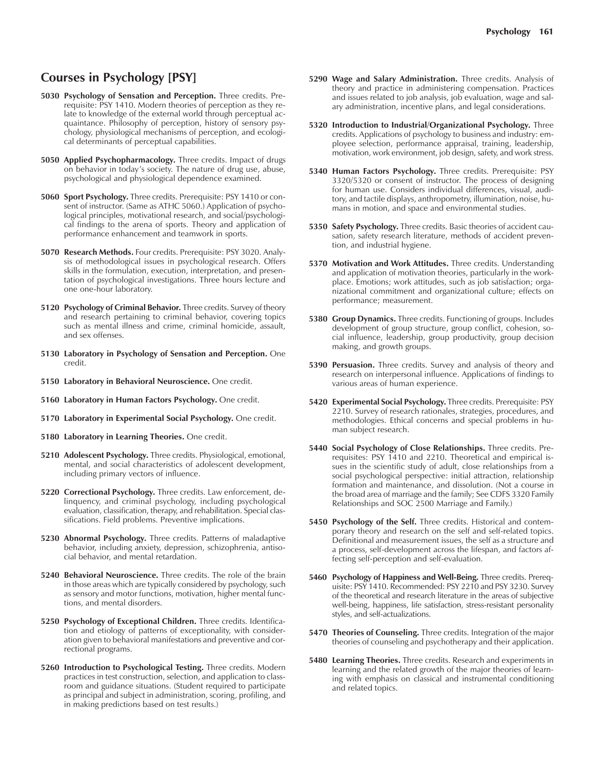### **Courses in Psychology [PSY]**

- **5030 Psychology of Sensation and Perception.** Three credits. Prerequisite: PSY 1410. Modern theories of perception as they relate to knowledge of the external world through perceptual acquaintance. Philosophy of perception, history of sensory psychology, physiological mechanisms of perception, and ecological determinants of perceptual capabilities.
- **5050 Applied Psychopharmacology.** Three credits. Impact of drugs on behavior in today's society. The nature of drug use, abuse, psychological and physiological dependence examined.
- **5060 Sport Psychology.** Three credits. Prerequisite: PSY 1410 or consent of instructor. (Same as ATHC 5060.) Application of psychological principles, motivational research, and social/psychological findings to the arena of sports. Theory and application of performance enhancement and teamwork in sports.
- **5070 Research Methods.** Four credits. Prerequisite: PSY 3020. Analysis of methodological issues in psychological research. Offers skills in the formulation, execution, interpretation, and presentation of psychological investigations. Three hours lecture and one one-hour laboratory.
- **5120 Psychology of Criminal Behavior.** Three credits. Survey of theory and research pertaining to criminal behavior, covering topics such as mental illness and crime, criminal homicide, assault, and sex offenses.
- **5130 Laboratory in Psychology of Sensation and Perception.** One credit.
- **5150 Laboratory in Behavioral Neuroscience.** One credit.
- **5160 Laboratory in Human Factors Psychology.** One credit.
- **5170 Laboratory in Experimental Social Psychology.** One credit.
- **5180 Laboratory in Learning Theories.** One credit.
- **5210 Adolescent Psychology.** Three credits. Physiological, emotional, mental, and social characteristics of adolescent development, including primary vectors of influence.
- **5220 Correctional Psychology.** Three credits. Law enforcement, delinquency, and criminal psychology, including psychological evaluation, classification, therapy, and rehabilitation. Special classifications. Field problems. Preventive implications.
- **5230 Abnormal Psychology.** Three credits. Patterns of maladaptive behavior, including anxiety, depression, schizophrenia, antisocial behavior, and mental retardation.
- **5240 Behavioral Neuroscience.** Three credits. The role of the brain in those areas which are typically considered by psychology, such as sensory and motor functions, motivation, higher mental functions, and mental disorders.
- **5250 Psychology of Exceptional Children.** Three credits. Identification and etiology of patterns of exceptionality, with consideration given to behavioral manifestations and preventive and correctional programs.
- **5260 Introduction to Psychological Testing.** Three credits. Modern practices in test construction, selection, and application to classroom and guidance situations. (Student required to participate as principal and subject in administration, scoring, profiling, and in making predictions based on test results.)
- **5290 Wage and Salary Administration.** Three credits. Analysis of theory and practice in administering compensation. Practices and issues related to job analysis, job evaluation, wage and salary administration, incentive plans, and legal considerations.
- **5320 Introduction to Industrial/Organizational Psychology.** Three credits. Applications of psychology to business and industry: employee selection, performance appraisal, training, leadership, motivation, work environment, job design, safety, and work stress.
- **5340 Human Factors Psychology.** Three credits. Prerequisite: PSY 3320/5320 or consent of instructor. The process of designing for human use. Considers individual differences, visual, auditory, and tactile displays, anthropometry, illumination, noise, humans in motion, and space and environmental studies.
- **5350 Safety Psychology.** Three credits. Basic theories of accident causation, safety research literature, methods of accident prevention, and industrial hygiene.
- **5370 Motivation and Work Attitudes.** Three credits. Understanding and application of motivation theories, particularly in the workplace. Emotions; work attitudes, such as job satisfaction; organizational commitment and organizational culture; effects on performance; measurement.
- **5380 Group Dynamics.** Three credits. Functioning of groups. Includes development of group structure, group conflict, cohesion, social influence, leadership, group productivity, group decision making, and growth groups.
- **5390 Persuasion.** Three credits. Survey and analysis of theory and research on interpersonal influence. Applications of findings to various areas of human experience.
- **5420 Experimental Social Psychology.** Three credits. Prerequisite: PSY 2210. Survey of research rationales, strategies, procedures, and methodologies. Ethical concerns and special problems in human subject research.
- **5440 Social Psychology of Close Relationships.** Three credits. Prerequisites: PSY 1410 and 2210. Theoretical and empirical issues in the scientific study of adult, close relationships from a social psychological perspective: initial attraction, relationship formation and maintenance, and dissolution. (Not a course in the broad area of marriage and the family; See CDFS 3320 Family Relationships and SOC 2500 Marriage and Family.)
- **5450 Psychology of the Self.** Three credits. Historical and contemporary theory and research on the self and self-related topics. Definitional and measurement issues, the self as a structure and a process, self-development across the lifespan, and factors affecting self-perception and self-evaluation.
- **5460 Psychology of Happiness and Well-Being.** Three credits. Prerequisite: PSY 1410. Recommended: PSY 2210 and PSY 3230. Survey of the theoretical and research literature in the areas of subjective well-being, happiness, life satisfaction, stress-resistant personality styles, and self-actualizations.
- **5470 Theories of Counseling.** Three credits. Integration of the major theories of counseling and psychotherapy and their application.
- **5480 Learning Theories.** Three credits. Research and experiments in learning and the related growth of the major theories of learning with emphasis on classical and instrumental conditioning and related topics.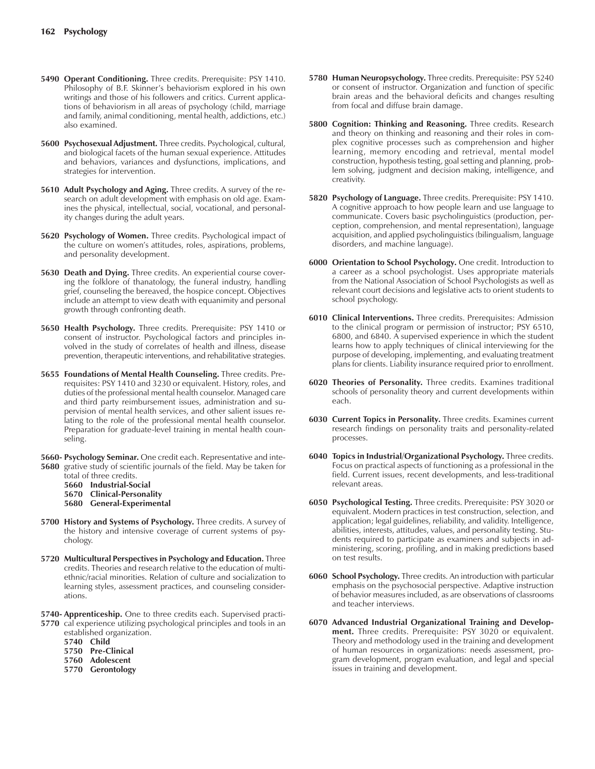- **5490 Operant Conditioning.** Three credits. Prerequisite: PSY 1410. Philosophy of B.F. Skinner's behaviorism explored in his own writings and those of his followers and critics. Current applications of behaviorism in all areas of psychology (child, marriage and family, animal conditioning, mental health, addictions, etc.) also examined.
- **5600 Psychosexual Adjustment.** Three credits. Psychological, cultural, and biological facets of the human sexual experience. Attitudes and behaviors, variances and dysfunctions, implications, and strategies for intervention.
- **5610 Adult Psychology and Aging.** Three credits. A survey of the research on adult development with emphasis on old age. Examines the physical, intellectual, social, vocational, and personality changes during the adult years.
- **5620 Psychology of Women.** Three credits. Psychological impact of the culture on women's attitudes, roles, aspirations, problems, and personality development.
- **5630 Death and Dying.** Three credits. An experiential course covering the folklore of thanatology, the funeral industry, handling grief, counseling the bereaved, the hospice concept. Objectives include an attempt to view death with equanimity and personal growth through confronting death.
- **5650 Health Psychology.** Three credits. Prerequisite: PSY 1410 or consent of instructor. Psychological factors and principles involved in the study of correlates of health and illness, disease prevention, therapeutic interventions, and rehabilitative strategies.
- **5655 Foundations of Mental Health Counseling.** Three credits. Prerequisites: PSY 1410 and 3230 or equivalent. History, roles, and duties of the professional mental health counselor. Managed care and third party reimbursement issues, administration and supervision of mental health services, and other salient issues relating to the role of the professional mental health counselor. Preparation for graduate-level training in mental health counseling.
- **5660- Psychology Seminar.** One credit each. Representative and inte-**5680** grative study of scientific journals of the field. May be taken for
	- total of three credits.
	- **5660 Industrial-Social**
	- **5670 Clinical-Personality**
	- **5680 General-Experimental**
- **5700 History and Systems of Psychology.** Three credits. A survey of the history and intensive coverage of current systems of psychology.
- **5720 Multicultural Perspectives in Psychology and Education.** Three credits. Theories and research relative to the education of multiethnic/racial minorities. Relation of culture and socialization to learning styles, assessment practices, and counseling considerations.
- **5740- Apprenticeship.** One to three credits each. Supervised practi-**5770** cal experience utilizing psychological principles and tools in an
	- established organization.
	- **5740 Child**
	- **5750 Pre-Clinical**
	- **5760 Adolescent**
	- **5770 Gerontology**
- **5780 Human Neuropsychology.** Three credits. Prerequisite: PSY 5240 or consent of instructor. Organization and function of specific brain areas and the behavioral deficits and changes resulting from focal and diffuse brain damage.
- **5800 Cognition: Thinking and Reasoning.** Three credits. Research and theory on thinking and reasoning and their roles in complex cognitive processes such as comprehension and higher learning, memory encoding and retrieval, mental model construction, hypothesis testing, goal setting and planning, problem solving, judgment and decision making, intelligence, and creativity.
- **5820 Psychology of Language.** Three credits. Prerequisite: PSY 1410. A cognitive approach to how people learn and use language to communicate. Covers basic psycholinguistics (production, perception, comprehension, and mental representation), language acquisition, and applied psycholinguistics (bilingualism, language disorders, and machine language).
- **6000 Orientation to School Psychology.** One credit. Introduction to a career as a school psychologist. Uses appropriate materials from the National Association of School Psychologists as well as relevant court decisions and legislative acts to orient students to school psychology.
- **6010 Clinical Interventions.** Three credits. Prerequisites: Admission to the clinical program or permission of instructor; PSY 6510, 6800, and 6840. A supervised experience in which the student learns how to apply techniques of clinical interviewing for the purpose of developing, implementing, and evaluating treatment plans for clients. Liability insurance required prior to enrollment.
- **6020 Theories of Personality.** Three credits. Examines traditional schools of personality theory and current developments within each.
- **6030 Current Topics in Personality.** Three credits. Examines current research findings on personality traits and personality-related processes.
- **6040 Topics in Industrial/Organizational Psychology.** Three credits. Focus on practical aspects of functioning as a professional in the field. Current issues, recent developments, and less-traditional relevant areas.
- **6050 Psychological Testing.** Three credits. Prerequisite: PSY 3020 or equivalent. Modern practices in test construction, selection, and application; legal guidelines, reliability, and validity. Intelligence, abilities, interests, attitudes, values, and personality testing. Students required to participate as examiners and subjects in administering, scoring, profiling, and in making predictions based on test results.
- **6060 School Psychology.** Three credits. An introduction with particular emphasis on the psychosocial perspective. Adaptive instruction of behavior measures included, as are observations of classrooms and teacher interviews.
- **6070 Advanced Industrial Organizational Training and Development.** Three credits. Prerequisite: PSY 3020 or equivalent. Theory and methodology used in the training and development of human resources in organizations: needs assessment, program development, program evaluation, and legal and special issues in training and development.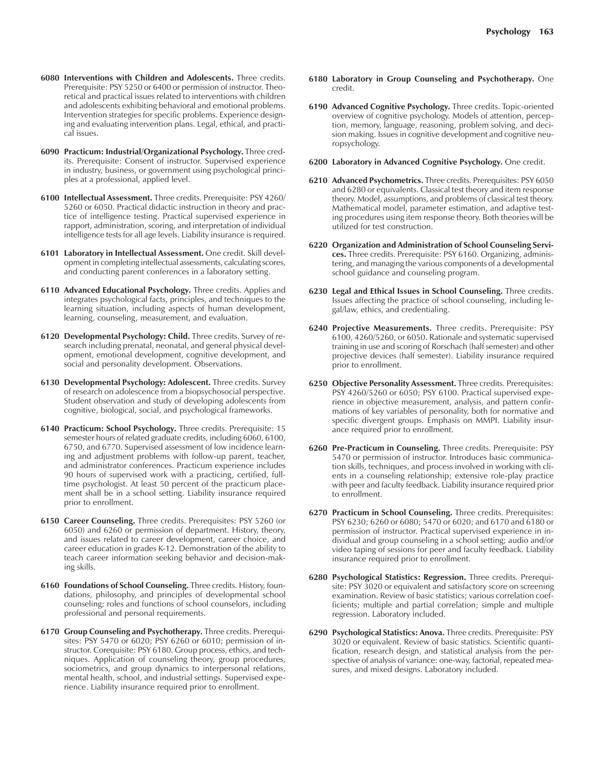- **6080 Interventions with Children and Adolescents.** Three credits. Prerequisite: PSY 5250 or 6400 or permission of instructor. Theoretical and practical issues related to interventions with children and adolescents exhibiting behavioral and emotional problems. Intervention strategies for specific problems. Experience designing and evaluating intervention plans. Legal, ethical, and practical issues.
- **6090 Practicum: Industrial/Organizational Psychology.** Three credits. Prerequisite: Consent of instructor. Supervised experience in industry, business, or government using psychological principles at a professional, applied level.
- **6100 Intellectual Assessment.** Three credits. Prerequisite: PSY 4260/ 5260 or 6050. Practical didactic instruction in theory and practice of intelligence testing. Practical supervised experience in rapport, administration, scoring, and interpretation of individual intelligence tests for all age levels. Liability insurance is required.
- **6101 Laboratory in Intellectual Assessment.** One credit. Skill development in completing intellectual assessments, calculating scores, and conducting parent conferences in a laboratory setting.
- **6110 Advanced Educational Psychology.** Three credits. Applies and integrates psychological facts, principles, and techniques to the learning situation, including aspects of human development, learning, counseling, measurement, and evaluation.
- **6120 Developmental Psychology: Child.** Three credits. Survey of research including prenatal, neonatal, and general physical development, emotional development, cognitive development, and social and personality development. Observations.
- **6130 Developmental Psychology: Adolescent.** Three credits. Survey of research on adolescence from a biopsychosocial perspective. Student observation and study of developing adolescents from cognitive, biological, social, and psychological frameworks.
- **6140 Practicum: School Psychology.** Three credits. Prerequisite: 15 semester hours of related graduate credits, including 6060, 6100, 6750, and 6770. Supervised assessment of low incidence learning and adjustment problems with follow-up parent, teacher, and administrator conferences. Practicum experience includes 90 hours of supervised work with a practicing, certified, fulltime psychologist. At least 50 percent of the practicum placement shall be in a school setting. Liability insurance required prior to enrollment.
- **6150 Career Counseling.** Three credits. Prerequisites: PSY 5260 (or 6050) and 6260 or permission of department. History, theory, and issues related to career development, career choice, and career education in grades K-12. Demonstration of the ability to teach career information seeking behavior and decision-making skills.
- **6160 Foundations of School Counseling.** Three credits. History, foundations, philosophy, and principles of developmental school counseling; roles and functions of school counselors, including professional and personal requirements.
- **6170 Group Counseling and Psychotherapy.** Three credits. Prerequisites: PSY 5470 or 6020; PSY 6260 or 6010; permission of instructor. Corequisite: PSY 6180. Group process, ethics, and techniques. Application of counseling theory, group procedures, sociometrics, and group dynamics to interpersonal relations, mental health, school, and industrial settings. Supervised experience. Liability insurance required prior to enrollment.
- **6180 Laboratory in Group Counseling and Psychotherapy.** One credit.
- **6190 Advanced Cognitive Psychology.** Three credits. Topic-oriented overview of cognitive psychology. Models of attention, perception, memory, language, reasoning, problem solving, and decision making. Issues in cognitive development and cognitive neuropsychology.
- **6200 Laboratory in Advanced Cognitive Psychology.** One credit.
- **6210 Advanced Psychometrics.** Three credits. Prerequisites: PSY 6050 and 6280 or equivalents. Classical test theory and item response theory. Model, assumptions, and problems of classical test theory. Mathematical model, parameter estimation, and adaptive testing procedures using item response theory. Both theories will be utilized for test construction.
- **6220 Organization and Administration of School Counseling Services.** Three credits. Prerequisite: PSY 6160. Organizing, administering, and managing the various components of a developmental school guidance and counseling program.
- **6230 Legal and Ethical Issues in School Counseling.** Three credits. Issues affecting the practice of school counseling, including legal/law, ethics, and credentialing.
- **6240 Projective Measurements.** Three credits. Prerequisite: PSY 6100, 4260/5260, or 6050. Rationale and systematic supervised training in use and scoring of Rorschach (half semester) and other projective devices (half semester). Liability insurance required prior to enrollment.
- **6250 Objective Personality Assessment.** Three credits. Prerequisites: PSY 4260/5260 or 6050; PSY 6100. Practical supervised experience in objective measurement, analysis, and pattern confirmations of key variables of personality, both for normative and specific divergent groups. Emphasis on MMPI. Liability insurance required prior to enrollment.
- **6260 Pre-Practicum in Counseling.** Three credits. Prerequisite: PSY 5470 or permission of instructor. Introduces basic communication skills, techniques, and process involved in working with clients in a counseling relationship; extensive role-play practice with peer and faculty feedback. Liability insurance required prior to enrollment.
- **6270 Practicum in School Counseling.** Three credits. Prerequisites: PSY 6230; 6260 or 6080; 5470 or 6020; and 6170 and 6180 or permission of instructor. Practical supervised experience in individual and group counseling in a school setting; audio and/or video taping of sessions for peer and faculty feedback. Liability insurance required prior to enrollment.
- **6280 Psychological Statistics: Regression.** Three credits. Prerequisite: PSY 3020 or equivalent and satisfactory score on screening examination. Review of basic statistics; various correlation coefficients; multiple and partial correlation; simple and multiple regression. Laboratory included.
- **6290 Psychological Statistics: Anova.** Three credits. Prerequisite: PSY 3020 or equivalent. Review of basic statistics. Scientific quantification, research design, and statistical analysis from the perspective of analysis of variance: one-way, factorial, repeated measures, and mixed designs. Laboratory included.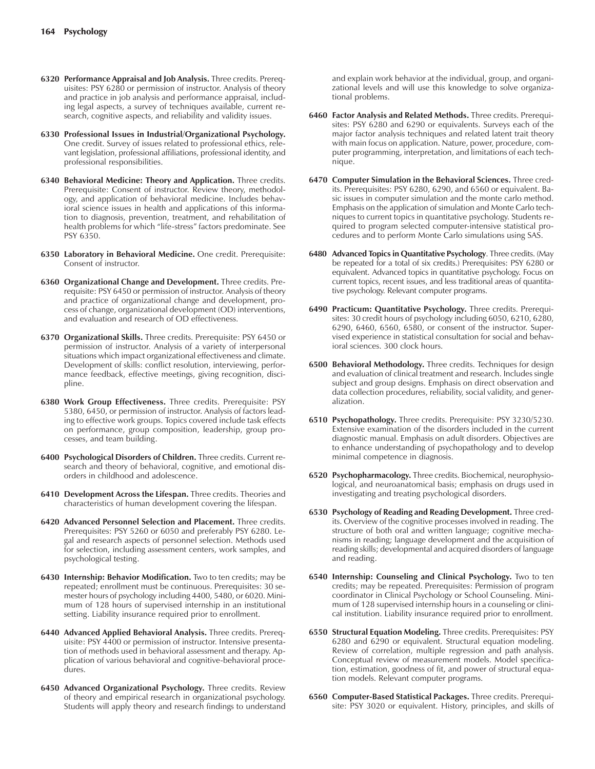- **6320 Performance Appraisal and Job Analysis.** Three credits. Prerequisites: PSY 6280 or permission of instructor. Analysis of theory and practice in job analysis and performance appraisal, including legal aspects, a survey of techniques available, current research, cognitive aspects, and reliability and validity issues.
- **6330 Professional Issues in Industrial/Organizational Psychology.** One credit. Survey of issues related to professional ethics, relevant legislation, professional affiliations, professional identity, and professional responsibilities.
- **6340 Behavioral Medicine: Theory and Application.** Three credits. Prerequisite: Consent of instructor. Review theory, methodology, and application of behavioral medicine. Includes behavioral science issues in health and applications of this information to diagnosis, prevention, treatment, and rehabilitation of health problems for which "life-stress" factors predominate. See PSY 6350.
- **6350 Laboratory in Behavioral Medicine.** One credit. Prerequisite: Consent of instructor.
- **6360 Organizational Change and Development.** Three credits. Prerequisite: PSY 6450 or permission of instructor. Analysis of theory and practice of organizational change and development, process of change, organizational development (OD) interventions, and evaluation and research of OD effectiveness.
- **6370 Organizational Skills.** Three credits. Prerequisite: PSY 6450 or permission of instructor. Analysis of a variety of interpersonal situations which impact organizational effectiveness and climate. Development of skills: conflict resolution, interviewing, performance feedback, effective meetings, giving recognition, discipline.
- **6380 Work Group Effectiveness.** Three credits. Prerequisite: PSY 5380, 6450, or permission of instructor. Analysis of factors leading to effective work groups. Topics covered include task effects on performance, group composition, leadership, group processes, and team building.
- **6400 Psychological Disorders of Children.** Three credits. Current research and theory of behavioral, cognitive, and emotional disorders in childhood and adolescence.
- **6410 Development Across the Lifespan.** Three credits. Theories and characteristics of human development covering the lifespan.
- **6420 Advanced Personnel Selection and Placement.** Three credits. Prerequisites: PSY 5260 or 6050 and preferably PSY 6280. Legal and research aspects of personnel selection. Methods used for selection, including assessment centers, work samples, and psychological testing.
- **6430 Internship: Behavior Modification.** Two to ten credits; may be repeated; enrollment must be continuous. Prerequisites: 30 semester hours of psychology including 4400, 5480, or 6020. Minimum of 128 hours of supervised internship in an institutional setting. Liability insurance required prior to enrollment.
- **6440 Advanced Applied Behavioral Analysis.** Three credits. Prerequisite: PSY 4400 or permission of instructor. Intensive presentation of methods used in behavioral assessment and therapy. Application of various behavioral and cognitive-behavioral procedures.
- **6450 Advanced Organizational Psychology.** Three credits. Review of theory and empirical research in organizational psychology. Students will apply theory and research findings to understand

and explain work behavior at the individual, group, and organizational levels and will use this knowledge to solve organizational problems.

- **6460 Factor Analysis and Related Methods.** Three credits. Prerequisites: PSY 6280 and 6290 or equivalents. Surveys each of the major factor analysis techniques and related latent trait theory with main focus on application. Nature, power, procedure, computer programming, interpretation, and limitations of each technique.
- **6470 Computer Simulation in the Behavioral Sciences.** Three credits. Prerequisites: PSY 6280, 6290, and 6560 or equivalent. Basic issues in computer simulation and the monte carlo method. Emphasis on the application of simulation and Monte Carlo techniques to current topics in quantitative psychology. Students required to program selected computer-intensive statistical procedures and to perform Monte Carlo simulations using SAS.
- **6480 Advanced Topics in Quantitative Psychology**. Three credits. (May be repeated for a total of six credits.) Prerequisites: PSY 6280 or equivalent. Advanced topics in quantitative psychology. Focus on current topics, recent issues, and less traditional areas of quantitative psychology. Relevant computer programs.
- **6490 Practicum: Quantitative Psychology.** Three credits. Prerequisites: 30 credit hours of psychology including 6050, 6210, 6280, 6290, 6460, 6560, 6580, or consent of the instructor. Supervised experience in statistical consultation for social and behavioral sciences. 300 clock hours.
- **6500 Behavioral Methodology.** Three credits. Techniques for design and evaluation of clinical treatment and research. Includes single subject and group designs. Emphasis on direct observation and data collection procedures, reliability, social validity, and generalization.
- **6510 Psychopathology.** Three credits. Prerequisite: PSY 3230/5230. Extensive examination of the disorders included in the current diagnostic manual. Emphasis on adult disorders. Objectives are to enhance understanding of psychopathology and to develop minimal competence in diagnosis.
- **6520 Psychopharmacology.** Three credits. Biochemical, neurophysiological, and neuroanatomical basis; emphasis on drugs used in investigating and treating psychological disorders.
- **6530 Psychology of Reading and Reading Development.** Three credits. Overview of the cognitive processes involved in reading. The structure of both oral and written language; cognitive mechanisms in reading; language development and the acquisition of reading skills; developmental and acquired disorders of language and reading.
- **6540 Internship: Counseling and Clinical Psychology.** Two to ten credits; may be repeated. Prerequisites: Permission of program coordinator in Clinical Psychology or School Counseling. Minimum of 128 supervised internship hours in a counseling or clinical institution. Liability insurance required prior to enrollment.
- **6550 Structural Equation Modeling.** Three credits. Prerequisites: PSY 6280 and 6290 or equivalent. Structural equation modeling. Review of correlation, multiple regression and path analysis. Conceptual review of measurement models. Model specification, estimation, goodness of fit, and power of structural equation models. Relevant computer programs.
- **6560 Computer-Based Statistical Packages.** Three credits. Prerequisite: PSY 3020 or equivalent. History, principles, and skills of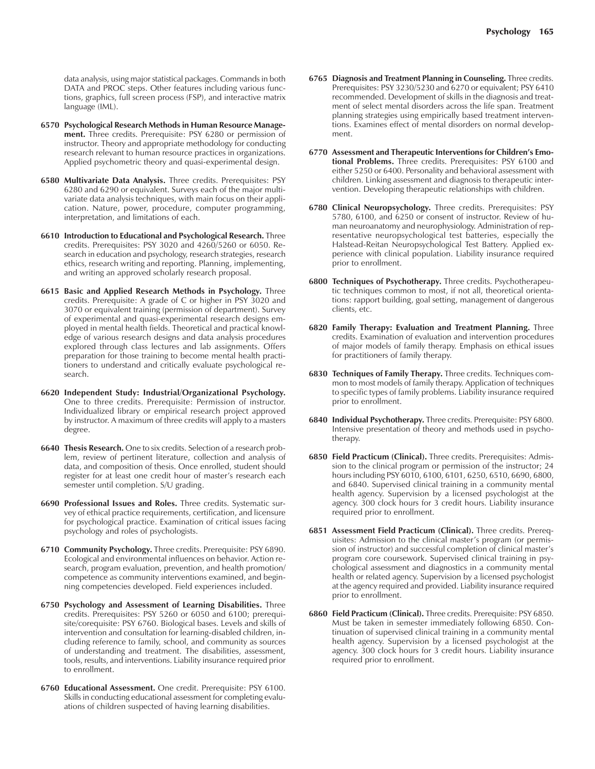data analysis, using major statistical packages. Commands in both DATA and PROC steps. Other features including various functions, graphics, full screen process (FSP), and interactive matrix language (IML).

- **6570 Psychological Research Methods in Human Resource Management.** Three credits. Prerequisite: PSY 6280 or permission of instructor. Theory and appropriate methodology for conducting research relevant to human resource practices in organizations. Applied psychometric theory and quasi-experimental design.
- **6580 Multivariate Data Analysis.** Three credits. Prerequisites: PSY 6280 and 6290 or equivalent. Surveys each of the major multivariate data analysis techniques, with main focus on their application. Nature, power, procedure, computer programming, interpretation, and limitations of each.
- **6610 Introduction to Educational and Psychological Research.** Three credits. Prerequisites: PSY 3020 and 4260/5260 or 6050. Research in education and psychology, research strategies, research ethics, research writing and reporting. Planning, implementing, and writing an approved scholarly research proposal.
- **6615 Basic and Applied Research Methods in Psychology.** Three credits. Prerequisite: A grade of C or higher in PSY 3020 and 3070 or equivalent training (permission of department). Survey of experimental and quasi-experimental research designs employed in mental health fields. Theoretical and practical knowledge of various research designs and data analysis procedures explored through class lectures and lab assignments. Offers preparation for those training to become mental health practitioners to understand and critically evaluate psychological research.
- **6620 Independent Study: Industrial/Organizational Psychology.** One to three credits. Prerequisite: Permission of instructor. Individualized library or empirical research project approved by instructor. A maximum of three credits will apply to a masters degree.
- **6640 Thesis Research.** One to six credits. Selection of a research problem, review of pertinent literature, collection and analysis of data, and composition of thesis. Once enrolled, student should register for at least one credit hour of master's research each semester until completion. S/U grading.
- **6690 Professional Issues and Roles.** Three credits. Systematic survey of ethical practice requirements, certification, and licensure for psychological practice. Examination of critical issues facing psychology and roles of psychologists.
- **6710 Community Psychology.** Three credits. Prerequisite: PSY 6890. Ecological and environmental influences on behavior. Action research, program evaluation, prevention, and health promotion/ competence as community interventions examined, and beginning competencies developed. Field experiences included.
- **6750 Psychology and Assessment of Learning Disabilities.** Three credits. Prerequisites: PSY 5260 or 6050 and 6100; prerequisite/corequisite: PSY 6760. Biological bases. Levels and skills of intervention and consultation for learning-disabled children, including reference to family, school, and community as sources of understanding and treatment. The disabilities, assessment, tools, results, and interventions. Liability insurance required prior to enrollment.
- **6760 Educational Assessment.** One credit. Prerequisite: PSY 6100. Skills in conducting educational assessment for completing evaluations of children suspected of having learning disabilities.
- **6765 Diagnosis and Treatment Planning in Counseling.** Three credits. Prerequisites: PSY 3230/5230 and 6270 or equivalent; PSY 6410 recommended. Development of skills in the diagnosis and treatment of select mental disorders across the life span. Treatment planning strategies using empirically based treatment interventions. Examines effect of mental disorders on normal development.
- **6770 Assessment and Therapeutic Interventions for Childrenís Emotional Problems.** Three credits. Prerequisites: PSY 6100 and either 5250 or 6400. Personality and behavioral assessment with children. Linking assessment and diagnosis to therapeutic intervention. Developing therapeutic relationships with children.
- **6780 Clinical Neuropsychology.** Three credits. Prerequisites: PSY 5780, 6100, and 6250 or consent of instructor. Review of human neuroanatomy and neurophysiology. Administration of representative neuropsychological test batteries, especially the Halstead-Reitan Neuropsychological Test Battery. Applied experience with clinical population. Liability insurance required prior to enrollment.
- **6800 Techniques of Psychotherapy.** Three credits. Psychotherapeutic techniques common to most, if not all, theoretical orientations: rapport building, goal setting, management of dangerous clients, etc.
- **6820 Family Therapy: Evaluation and Treatment Planning.** Three credits. Examination of evaluation and intervention procedures of major models of family therapy. Emphasis on ethical issues for practitioners of family therapy.
- **6830 Techniques of Family Therapy.** Three credits. Techniques common to most models of family therapy. Application of techniques to specific types of family problems. Liability insurance required prior to enrollment.
- **6840 Individual Psychotherapy.** Three credits. Prerequisite: PSY 6800. Intensive presentation of theory and methods used in psychotherapy.
- **6850 Field Practicum (Clinical).** Three credits. Prerequisites: Admission to the clinical program or permission of the instructor; 24 hours including PSY 6010, 6100, 6101, 6250, 6510, 6690, 6800, and 6840. Supervised clinical training in a community mental health agency. Supervision by a licensed psychologist at the agency. 300 clock hours for 3 credit hours. Liability insurance required prior to enrollment.
- **6851 Assessment Field Practicum (Clinical).** Three credits. Prerequisites: Admission to the clinical master's program (or permission of instructor) and successful completion of clinical master's program core coursework. Supervised clinical training in psychological assessment and diagnostics in a community mental health or related agency. Supervision by a licensed psychologist at the agency required and provided. Liability insurance required prior to enrollment.
- **6860 Field Practicum (Clinical).** Three credits. Prerequisite: PSY 6850. Must be taken in semester immediately following 6850. Continuation of supervised clinical training in a community mental health agency. Supervision by a licensed psychologist at the agency. 300 clock hours for 3 credit hours. Liability insurance required prior to enrollment.